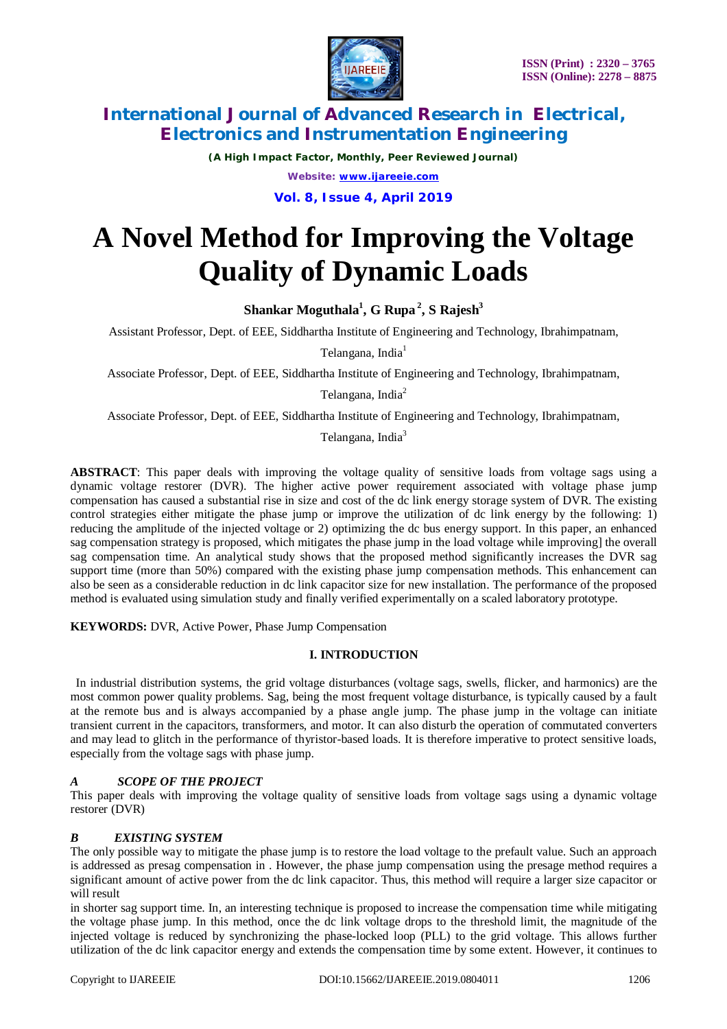

*(A High Impact Factor, Monthly, Peer Reviewed Journal) Website: [www.ijareeie.com](http://www.ijareeie.com)* **Vol. 8, Issue 4, April 2019**

# **A Novel Method for Improving the Voltage Quality of Dynamic Loads**

**Shankar Moguthala<sup>1</sup> , G Rupa <sup>2</sup> , S Rajesh<sup>3</sup>**

Assistant Professor, Dept. of EEE, Siddhartha Institute of Engineering and Technology, Ibrahimpatnam,

Telangana, India<sup>1</sup>

Associate Professor, Dept. of EEE, Siddhartha Institute of Engineering and Technology, Ibrahimpatnam,

Telangana, India<sup>2</sup>

Associate Professor, Dept. of EEE, Siddhartha Institute of Engineering and Technology, Ibrahimpatnam,

Telangana, India<sup>3</sup>

**ABSTRACT**: This paper deals with improving the voltage quality of sensitive loads from voltage sags using a dynamic voltage restorer (DVR). The higher active power requirement associated with voltage phase jump compensation has caused a substantial rise in size and cost of the dc link energy storage system of DVR. The existing control strategies either mitigate the phase jump or improve the utilization of dc link energy by the following: 1) reducing the amplitude of the injected voltage or 2) optimizing the dc bus energy support. In this paper, an enhanced sag compensation strategy is proposed, which mitigates the phase jump in the load voltage while improving] the overall sag compensation time. An analytical study shows that the proposed method significantly increases the DVR sag support time (more than 50%) compared with the existing phase jump compensation methods. This enhancement can also be seen as a considerable reduction in dc link capacitor size for new installation. The performance of the proposed method is evaluated using simulation study and finally verified experimentally on a scaled laboratory prototype.

**KEYWORDS:** DVR, Active Power, Phase Jump Compensation

### **I. INTRODUCTION**

In industrial distribution systems, the grid voltage disturbances (voltage sags, swells, flicker, and harmonics) are the most common power quality problems. Sag, being the most frequent voltage disturbance, is typically caused by a fault at the remote bus and is always accompanied by a phase angle jump. The phase jump in the voltage can initiate transient current in the capacitors, transformers, and motor. It can also disturb the operation of commutated converters and may lead to glitch in the performance of thyristor-based loads. It is therefore imperative to protect sensitive loads, especially from the voltage sags with phase jump.

### *A SCOPE OF THE PROJECT*

This paper deals with improving the voltage quality of sensitive loads from voltage sags using a dynamic voltage restorer (DVR)

### *B EXISTING SYSTEM*

The only possible way to mitigate the phase jump is to restore the load voltage to the prefault value. Such an approach is addressed as presag compensation in . However, the phase jump compensation using the presage method requires a significant amount of active power from the dc link capacitor. Thus, this method will require a larger size capacitor or will result

in shorter sag support time. In, an interesting technique is proposed to increase the compensation time while mitigating the voltage phase jump. In this method, once the dc link voltage drops to the threshold limit, the magnitude of the injected voltage is reduced by synchronizing the phase-locked loop (PLL) to the grid voltage. This allows further utilization of the dc link capacitor energy and extends the compensation time by some extent. However, it continues to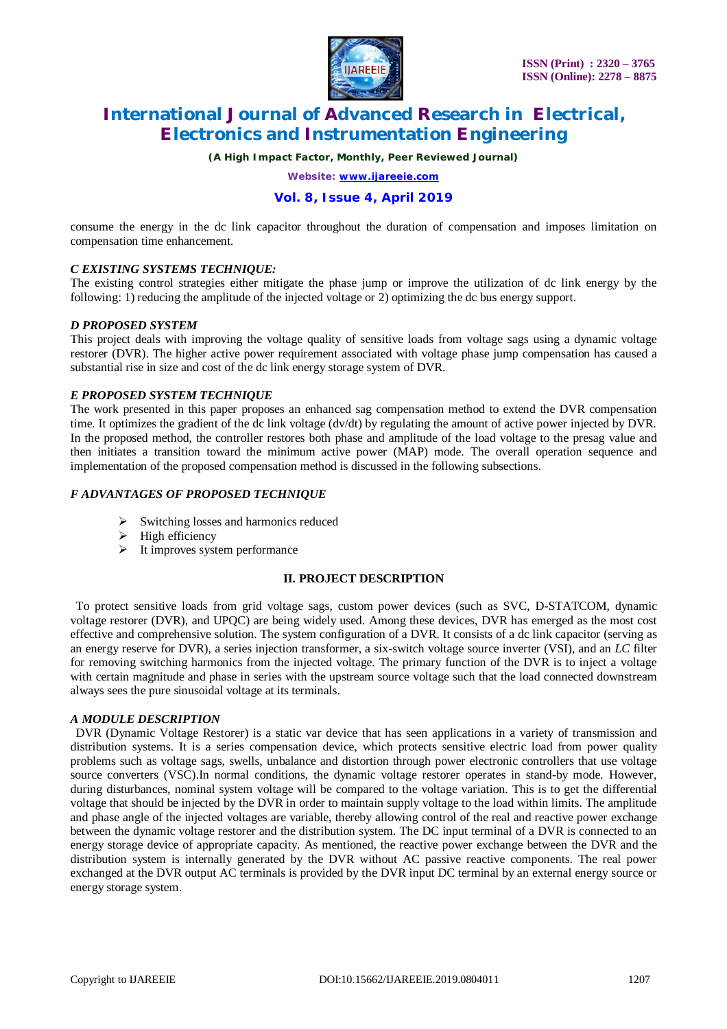

*(A High Impact Factor, Monthly, Peer Reviewed Journal)*

*Website: [www.ijareeie.com](http://www.ijareeie.com)*

### **Vol. 8, Issue 4, April 2019**

consume the energy in the dc link capacitor throughout the duration of compensation and imposes limitation on compensation time enhancement.

### *C EXISTING SYSTEMS TECHNIQUE:*

The existing control strategies either mitigate the phase jump or improve the utilization of dc link energy by the following: 1) reducing the amplitude of the injected voltage or 2) optimizing the dc bus energy support.

#### *D PROPOSED SYSTEM*

This project deals with improving the voltage quality of sensitive loads from voltage sags using a dynamic voltage restorer (DVR). The higher active power requirement associated with voltage phase jump compensation has caused a substantial rise in size and cost of the dc link energy storage system of DVR.

#### *E PROPOSED SYSTEM TECHNIQUE*

The work presented in this paper proposes an enhanced sag compensation method to extend the DVR compensation time. It optimizes the gradient of the dc link voltage (dv/dt) by regulating the amount of active power injected by DVR. In the proposed method, the controller restores both phase and amplitude of the load voltage to the presag value and then initiates a transition toward the minimum active power (MAP) mode. The overall operation sequence and implementation of the proposed compensation method is discussed in the following subsections.

### *F ADVANTAGES OF PROPOSED TECHNIQUE*

- Switching losses and harmonics reduced
- $\triangleright$  High efficiency
- $\triangleright$  It improves system performance

#### **II. PROJECT DESCRIPTION**

To protect sensitive loads from grid voltage sags, custom power devices (such as SVC, D-STATCOM, dynamic voltage restorer (DVR), and UPQC) are being widely used. Among these devices, DVR has emerged as the most cost effective and comprehensive solution. The system configuration of a DVR. It consists of a dc link capacitor (serving as an energy reserve for DVR), a series injection transformer, a six-switch voltage source inverter (VSI), and an *LC* filter for removing switching harmonics from the injected voltage. The primary function of the DVR is to inject a voltage with certain magnitude and phase in series with the upstream source voltage such that the load connected downstream always sees the pure sinusoidal voltage at its terminals.

#### *A MODULE DESCRIPTION*

DVR (Dynamic Voltage Restorer) is a static var device that has seen applications in a variety of transmission and distribution systems. It is a series compensation device, which protects sensitive electric load from power quality problems such as voltage sags, swells, unbalance and distortion through power electronic controllers that use voltage source converters (VSC).In normal conditions, the dynamic voltage restorer operates in stand-by mode. However, during disturbances, nominal system voltage will be compared to the voltage variation. This is to get the differential voltage that should be injected by the DVR in order to maintain supply voltage to the load within limits. The amplitude and phase angle of the injected voltages are variable, thereby allowing control of the real and reactive power exchange between the dynamic voltage restorer and the distribution system. The DC input terminal of a DVR is connected to an energy storage device of appropriate capacity. As mentioned, the reactive power exchange between the DVR and the distribution system is internally generated by the DVR without AC passive reactive components. The real power exchanged at the DVR output AC terminals is provided by the DVR input DC terminal by an external energy source or energy storage system.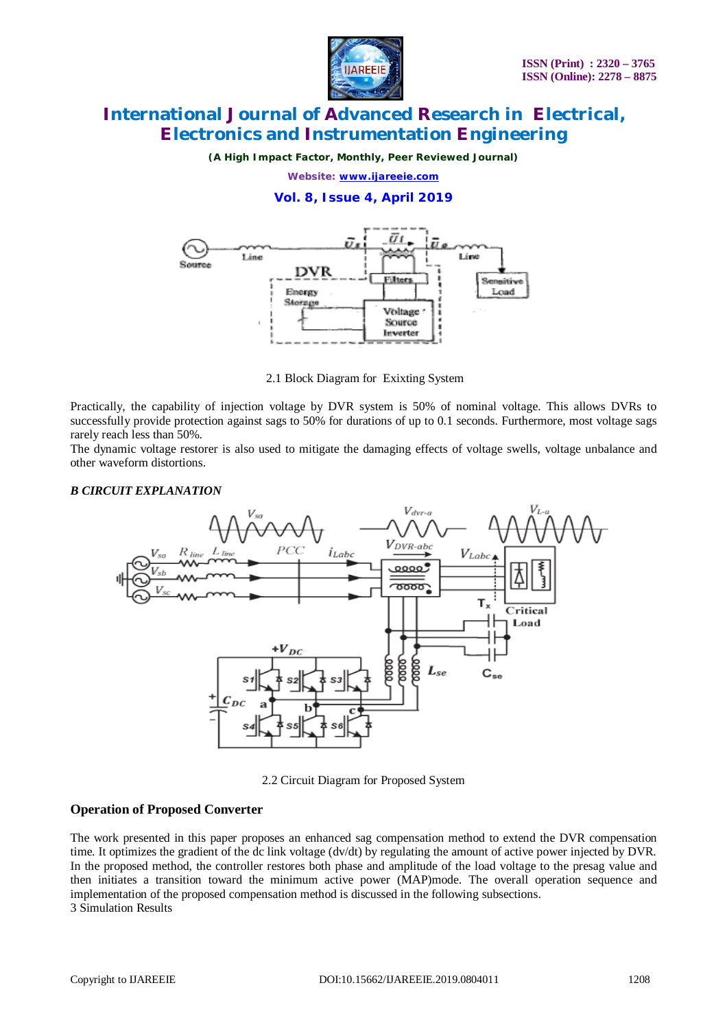

*(A High Impact Factor, Monthly, Peer Reviewed Journal)*

*Website: [www.ijareeie.com](http://www.ijareeie.com)*

### **Vol. 8, Issue 4, April 2019**



2.1 Block Diagram for Exixting System

Practically, the capability of injection voltage by DVR system is 50% of nominal voltage. This allows DVRs to successfully provide protection against sags to 50% for durations of up to 0.1 seconds. Furthermore, most voltage sags rarely reach less than 50%.

The dynamic voltage restorer is also used to mitigate the damaging effects of voltage swells, voltage unbalance and other waveform distortions.

### *B CIRCUIT EXPLANATION*



2.2 Circuit Diagram for Proposed System

### **Operation of Proposed Converter**

The work presented in this paper proposes an enhanced sag compensation method to extend the DVR compensation time. It optimizes the gradient of the dc link voltage (dv/dt) by regulating the amount of active power injected by DVR. In the proposed method, the controller restores both phase and amplitude of the load voltage to the presag value and then initiates a transition toward the minimum active power (MAP)mode. The overall operation sequence and implementation of the proposed compensation method is discussed in the following subsections. 3 Simulation Results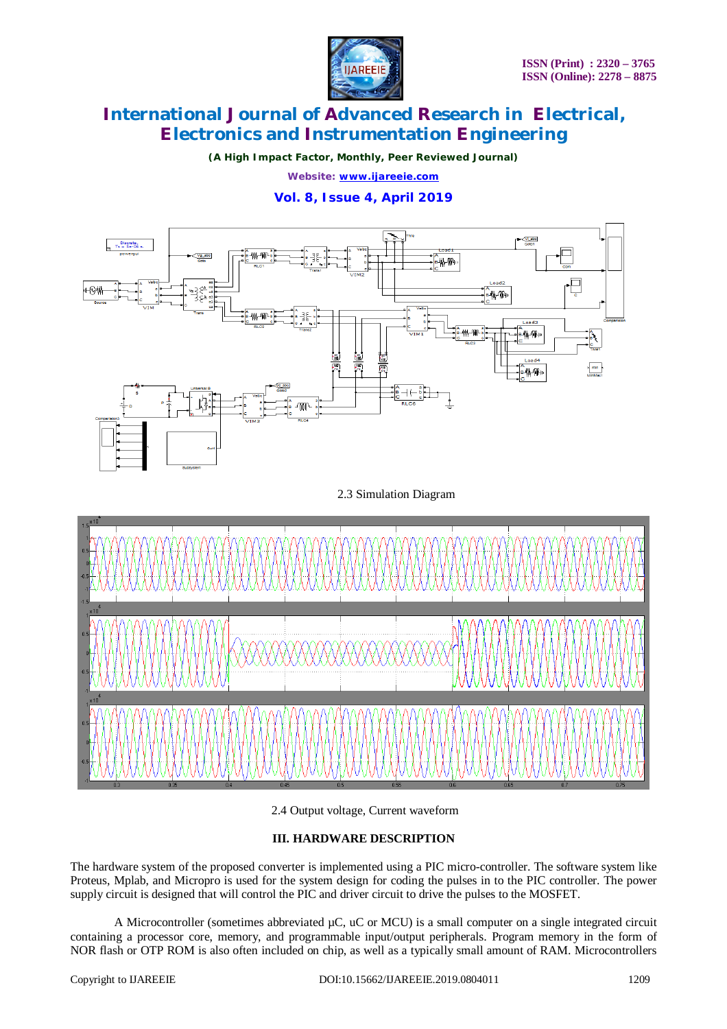

*(A High Impact Factor, Monthly, Peer Reviewed Journal)*

*Website: [www.ijareeie.com](http://www.ijareeie.com)*

### **Vol. 8, Issue 4, April 2019**



2.3 Simulation Diagram



### 2.4 Output voltage, Current waveform

### **III. HARDWARE DESCRIPTION**

The hardware system of the proposed converter is implemented using a PIC micro-controller. The software system like Proteus, Mplab, and Micropro is used for the system design for coding the pulses in to the PIC controller. The power supply circuit is designed that will control the PIC and driver circuit to drive the pulses to the MOSFET.

A Microcontroller (sometimes abbreviated  $\mu$ C,  $\mu$ C or MCU) is a small computer on a single integrated circuit containing a processor core, memory, and programmable input/output peripherals. Program memory in the form of NOR flash or OTP ROM is also often included on chip, as well as a typically small amount of RAM. Microcontrollers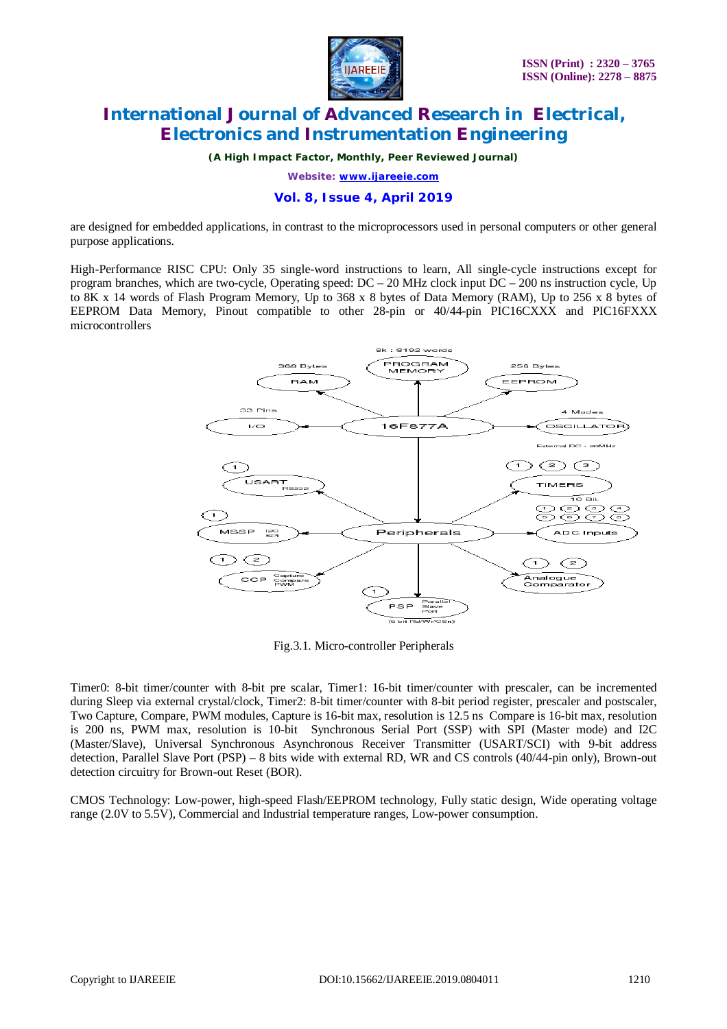

*(A High Impact Factor, Monthly, Peer Reviewed Journal)*

*Website: [www.ijareeie.com](http://www.ijareeie.com)*

### **Vol. 8, Issue 4, April 2019**

are designed for embedded applications, in contrast to the microprocessors used in personal computers or other general purpose applications.

High-Performance RISC CPU: Only 35 single-word instructions to learn, All single-cycle instructions except for program branches, which are two-cycle, Operating speed:  $DC - 20$  MHz clock input  $DC - 200$  ns instruction cycle, Up to 8K x 14 words of Flash Program Memory, Up to 368 x 8 bytes of Data Memory (RAM), Up to 256 x 8 bytes of EEPROM Data Memory, Pinout compatible to other 28-pin or 40/44-pin PIC16CXXX and PIC16FXXX microcontrollers



Fig.3.1. Micro-controller Peripherals

Timer0: 8-bit timer/counter with 8-bit pre scalar, Timer1: 16-bit timer/counter with prescaler, can be incremented during Sleep via external crystal/clock, Timer2: 8-bit timer/counter with 8-bit period register, prescaler and postscaler, Two Capture, Compare, PWM modules, Capture is 16-bit max, resolution is 12.5 ns Compare is 16-bit max, resolution is 200 ns, PWM max, resolution is 10-bit Synchronous Serial Port (SSP) with SPI (Master mode) and I2C (Master/Slave), Universal Synchronous Asynchronous Receiver Transmitter (USART/SCI) with 9-bit address detection, Parallel Slave Port (PSP) – 8 bits wide with external RD, WR and CS controls (40/44-pin only), Brown-out detection circuitry for Brown-out Reset (BOR).

CMOS Technology: Low-power, high-speed Flash/EEPROM technology, Fully static design, Wide operating voltage range (2.0V to 5.5V), Commercial and Industrial temperature ranges, Low-power consumption.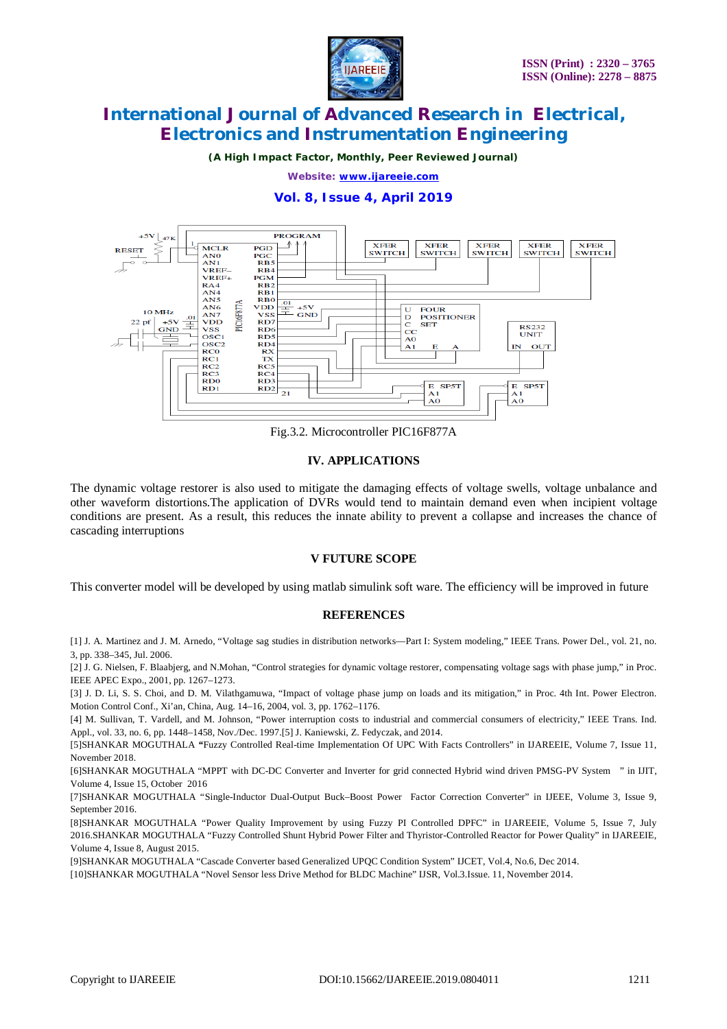

*(A High Impact Factor, Monthly, Peer Reviewed Journal)*

*Website: [www.ijareeie.com](http://www.ijareeie.com)*

### **Vol. 8, Issue 4, April 2019**



Fig.3.2. Microcontroller PIC16F877A

### **IV. APPLICATIONS**

The dynamic voltage restorer is also used to mitigate the damaging effects of voltage swells, voltage unbalance and other waveform distortions.The application of DVRs would tend to maintain demand even when incipient voltage conditions are present. As a result, this reduces the innate ability to prevent a collapse and increases the chance of cascading interruptions

### **V FUTURE SCOPE**

This converter model will be developed by using matlab simulink soft ware. The efficiency will be improved in future

#### **REFERENCES**

[1] J. A. Martinez and J. M. Arnedo, "Voltage sag studies in distribution networks—Part I: System modeling," IEEE Trans. Power Del., vol. 21, no. 3, pp. 338–345, Jul. 2006.

[2] J. G. Nielsen, F. Blaabjerg, and N.Mohan, "Control strategies for dynamic voltage restorer, compensating voltage sags with phase jump," in Proc. IEEE APEC Expo., 2001, pp. 1267–1273.

[3] J. D. Li, S. S. Choi, and D. M. Vilathgamuwa, "Impact of voltage phase jump on loads and its mitigation," in Proc. 4th Int. Power Electron. Motion Control Conf., Xi'an, China, Aug. 14–16, 2004, vol. 3, pp. 1762–1176.

[4] M. Sullivan, T. Vardell, and M. Johnson, "Power interruption costs to industrial and commercial consumers of electricity," IEEE Trans. Ind. Appl., vol. 33, no. 6, pp. 1448–1458, Nov./Dec. 1997.[5] J. Kaniewski, Z. Fedyczak, and 2014.

[5]SHANKAR MOGUTHALA *"*Fuzzy Controlled Real-time Implementation Of UPC With Facts Controllers" in IJAREEIE, Volume 7, Issue 11, November 2018.

[6]SHANKAR MOGUTHALA "MPPT with DC-DC Converter and Inverter for grid connected Hybrid wind driven PMSG-PV System " in IJIT, Volume 4, Issue 15, October 2016

[7]SHANKAR MOGUTHALA "Single-Inductor Dual-Output Buck–Boost Power Factor Correction Converter" in IJEEE, Volume 3, Issue 9, September 2016.

[8]SHANKAR MOGUTHALA "Power Quality Improvement by using Fuzzy PI Controlled DPFC" in IJAREEIE, Volume 5, Issue 7, July 2016.SHANKAR MOGUTHALA "Fuzzy Controlled Shunt Hybrid Power Filter and Thyristor-Controlled Reactor for Power Quality" in IJAREEIE, Volume 4, Issue 8, August 2015.

[9]SHANKAR MOGUTHALA "Cascade Converter based Generalized UPQC Condition System" IJCET, Vol.4, No.6, Dec 2014.

[10]SHANKAR MOGUTHALA "Novel Sensor less Drive Method for BLDC Machine" IJSR, Vol.3.Issue. 11, November 2014.